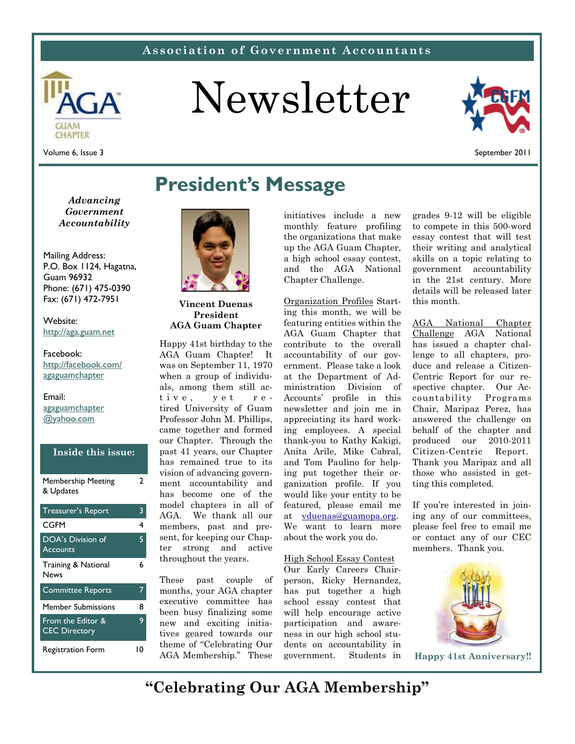### **Association of Government Accountants**



# Newsletter



Volume 6, Issue 3

September 2011

*Advancing Government Accountability* 

Mailing Address: P.O. Box 1124, Hagatna, Guam 96932 Phone: (671) 475-0390 Fax: (671) 472-7951

Wehsite<sup>.</sup> http://aga.guam.net

#### Facebook:

http://facebook.com/ agaguamchapter

Email: agaguamchapter @yahoo.com

| Inside this issue:                                    |      |
|-------------------------------------------------------|------|
| Membership Meeting<br>& Updates                       | 7    |
| <b>Treasurer's Report</b>                             | 3    |
| CGFM                                                  | 4    |
| <b>DOA's Division of</b><br><b>Accounts</b>           | 5    |
| Training & National<br><b>News</b>                    | 6    |
| <b>Committee Reports</b>                              | 7    |
| <b>Member Submissions</b>                             | 8    |
| From the Edit <u>or &amp;</u><br><b>CEC Directory</b> | 9    |
| Registration Form                                     | l () |

### **President's Message**



**Vincent Duenas President AGA Guam Chapter** 

Happy 41st birthday to the AGA Guam Chapter! It was on September 11, 1970 when a group of individuals, among them still active, yet retired University of Guam Professor John M. Phillips, came together and formed our Chapter. Through the past 41 years, our Chapter has remained true to its vision of advancing government accountability and has become one of the model chapters in all of AGA. We thank all our members, past and present, for keeping our Chapter strong and active throughout the years.

These past couple of months, your AGA chapter executive committee has been busy finalizing some new and exciting initiatives geared towards our theme of "Celebrating Our AGA Membership." These

initiatives include a new monthly feature profiling the organizations that make up the AGA Guam Chapter, a high school essay contest, and the AGA National Chapter Challenge.

Organization Profiles Starting this month, we will be featuring entities within the AGA Guam Chapter that contribute to the overall accountability of our government. Please take a look at the Department of Administration Division of Accounts' profile in this newsletter and join me in appreciating its hard working employees. A special thank-you to Kathy Kakigi, Anita Arile, Mike Cabral, and Tom Paulino for helping put together their organization profile. If you would like your entity to be featured, please email me at vduenas@guamopa.org. We want to learn more about the work you do.

#### High School Essay Contest

Our Early Careers Chairperson, Ricky Hernandez, has put together a high school essay contest that will help encourage active participation and awareness in our high school students on accountability in government. Students in grades 9-12 will be eligible to compete in this 500-word essay contest that will test their writing and analytical skills on a topic relating to government accountability in the 21st century. More details will be released later this month.

AGA National Chapter Challenge AGA National has issued a chapter challenge to all chapters, produce and release a Citizen-Centric Report for our respective chapter. Our Accountability Programs Chair, Maripaz Perez, has answered the challenge on behalf of the chapter and produced our 2010-2011 Citizen-Centric Report. Thank you Maripaz and all those who assisted in getting this completed.

If you're interested in joining any of our committees, please feel free to email me or contact any of our CEC members. Thank you.



**Happy 41st Anniversary!!** 

**"Celebrating Our AGA Membership"**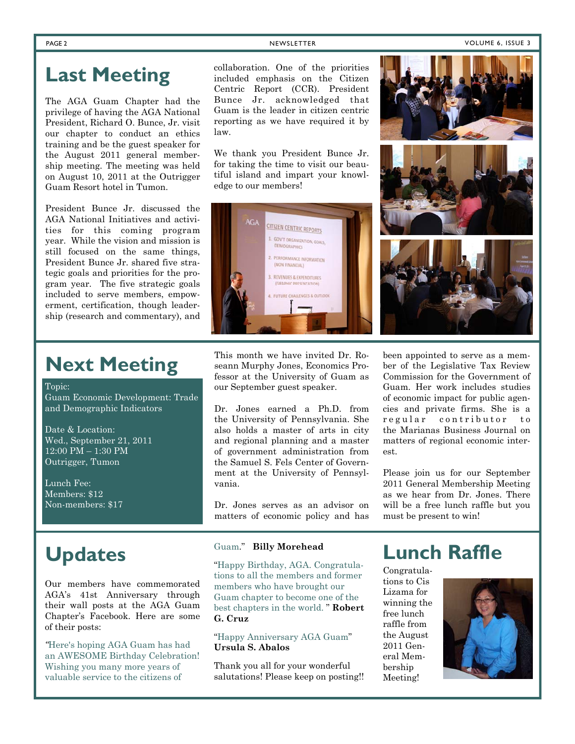### **Last Meeting**

The AGA Guam Chapter had the privilege of having the AGA National President, Richard O. Bunce, Jr. visit our chapter to conduct an ethics training and be the guest speaker for the August 2011 general membership meeting. The meeting was held on August 10, 2011 at the Outrigger Guam Resort hotel in Tumon.

President Bunce Jr. discussed the AGA National Initiatives and activities for this coming program year. While the vision and mission is still focused on the same things, President Bunce Jr. shared five strategic goals and priorities for the program year. The five strategic goals included to serve members, empowerment, certification, though leadership (research and commentary), and collaboration. One of the priorities included emphasis on the Citizen Centric Report (CCR). President Bunce Jr. acknowledged that Guam is the leader in citizen centric reporting as we have required it by law.

We thank you President Bunce Jr. for taking the time to visit our beautiful island and impart your knowledge to our members!



**Next Meeting** 

Topic:

Guam Economic Development: Trade and Demographic Indicators

Date & Location: Wed., September 21, 2011  $12.00$  PM  $-$  1:30 PM Outrigger, Tumon

Lunch Fee: Members: \$12 Non-members: \$17

## **Updates**

Our members have commemorated AGA's 41st Anniversary through their wall posts at the AGA Guam Chapter's Facebook. Here are some of their posts:

*"*Here's hoping AGA Guam has had an AWESOME Birthday Celebration! Wishing you many more years of valuable service to the citizens of

This month we have invited Dr. Roseann Murphy Jones, Economics Professor at the University of Guam as our September guest speaker.

Dr. Jones earned a Ph.D. from the University of Pennsylvania. She also holds a master of arts in city and regional planning and a master of government administration from the Samuel S. Fels Center of Government at the University of Pennsylvania.

Dr. Jones serves as an advisor on matters of economic policy and has

#### Guam." **Billy Morehead**

"Happy Birthday, AGA. Congratulations to all the members and former members who have brought our Guam chapter to become one of the best chapters in the world. " **Robert G. Cruz** 

"Happy Anniversary AGA Guam" **Ursula S. Abalos** 

Thank you all for your wonderful salutations! Please keep on posting!!

### **Lunch Raffle**

Congratulations to Cis Lizama for winning the free lunch raffle from the August 2011 General Membership Meeting!









been appointed to serve as a member of the Legislative Tax Review Commission for the Government of Guam. Her work includes studies of economic impact for public agencies and private firms. She is a regular contributor to the Marianas Business Journal on matters of regional economic interest.

Please join us for our September 2011 General Membership Meeting as we hear from Dr. Jones. There will be a free lunch raffle but you must be present to win!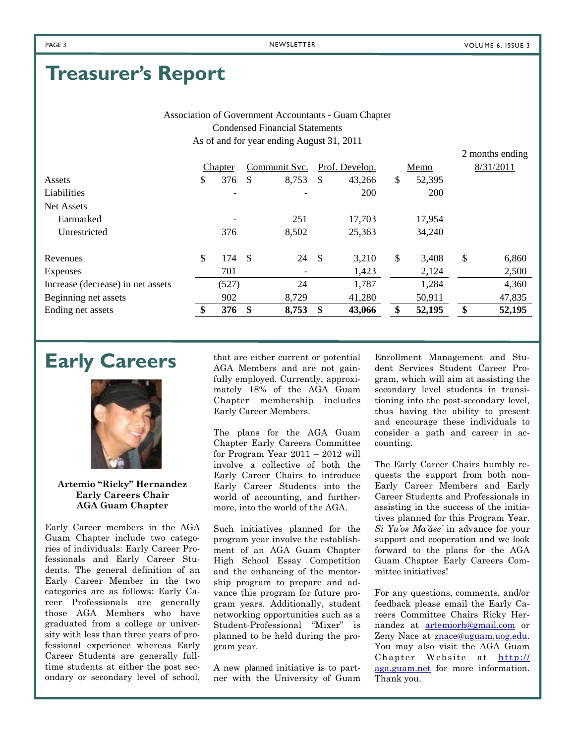2 months ending

### **Treasurer's Report**

Association of Government Accountants - Guam Chapter Condensed Financial Statements As of and for year ending August 31, 2011

|                                   | Chapter   |    | Communit Svc. |      | Prof. Develop. | Memo         | 8/31/2011    |
|-----------------------------------|-----------|----|---------------|------|----------------|--------------|--------------|
| Assets                            | \$<br>376 | S  | 8,753         | S    | 43,266         | \$<br>52,395 |              |
| Liabilities                       |           |    |               |      | 200            | 200          |              |
| Net Assets                        |           |    |               |      |                |              |              |
| Earmarked                         |           |    | 251           |      | 17,703         | 17,954       |              |
| Unrestricted                      | 376       |    | 8,502         |      | 25,363         | 34,240       |              |
| Revenues                          | \$<br>174 | -S | 24            | - \$ | 3,210          | \$<br>3,408  | \$<br>6,860  |
| Expenses                          | 701       |    |               |      | 1,423          | 2,124        | 2,500        |
| Increase (decrease) in net assets | (527)     |    | 24            |      | 1,787          | 1,284        | 4,360        |
| Beginning net assets              | 902       |    | 8,729         |      | 41,280         | 50,911       | 47,835       |
| Ending net assets                 | 376       | \$ | 8,753         | \$   | 43,066         | 52,195       | \$<br>52,195 |



**Artemio "Ricky" Hernandez Early Careers Chair AGA Guam Chapter** 

Early Career members in the AGA Guam Chapter include two categories of individuals: Early Career Professionals and Early Career Students. The general definition of an Early Career Member in the two categories are as follows: Early Career Professionals are generally those AGA Members who have graduated from a college or university with less than three years of professional experience whereas Early Career Students are generally fulltime students at either the post secondary or secondary level of school,

**Early Careers** that are either current or potential AGA Members and are not gainfully employed. Currently, approximately 18% of the AGA Guam Chapter membership includes Early Career Members.

> The plans for the AGA Guam Chapter Early Careers Committee for Program Year 2011 – 2012 will involve a collective of both the Early Career Chairs to introduce Early Career Students into the world of accounting, and furthermore, into the world of the AGA.

> Such initiatives planned for the program year involve the establishment of an AGA Guam Chapter High School Essay Competition and the enhancing of the mentorship program to prepare and advance this program for future program years. Additionally, student networking opportunities such as a Student-Professional "Mixer" is planned to be held during the program year.

A new planned initiative is to partner with the University of Guam

Enrollment Management and Student Services Student Career Program, which will aim at assisting the secondary level students in transitioning into the post-secondary level, thus having the ability to present and encourage these individuals to consider a path and career in accounting.

The Early Career Chairs humbly requests the support from both non-Early Career Members and Early Career Students and Professionals in assisting in the success of the initiatives planned for this Program Year. *Si Yu'os Ma'åse'* in advance for your support and cooperation and we look forward to the plans for the AGA Guam Chapter Early Careers Committee initiatives!

For any questions, comments, and/or feedback please email the Early Careers Committee Chairs Ricky Hernandez at artemiorh@gmail.com or Zeny Nace at **znace@uguam.uog.edu**. You may also visit the AGA Guam Chapter Website at http:// aga.guam.net for more information. Thank you.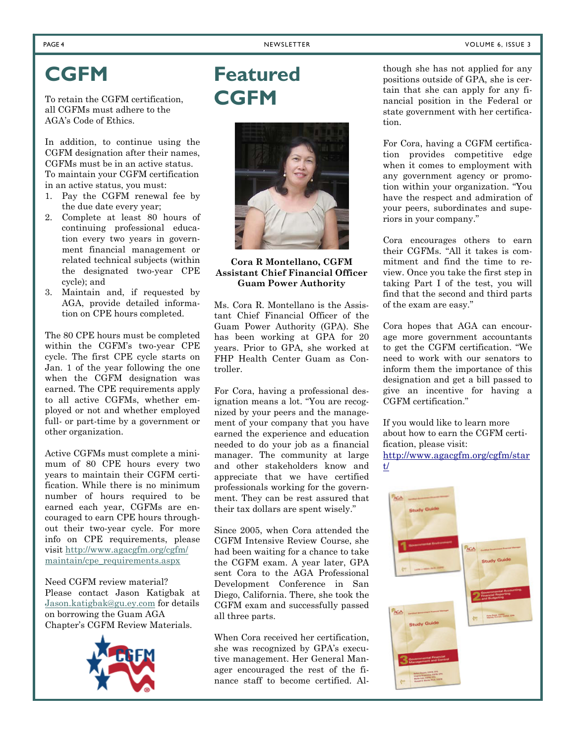## **CGFM**

To retain the CGFM certification, all CGFMs must adhere to the AGA's Code of Ethics.

In addition, to continue using the CGFM designation after their names, CGFMs must be in an active status. To maintain your CGFM certification in an active status, you must:

- 1. Pay the CGFM renewal fee by the due date every year;
- 2. Complete at least 80 hours of continuing professional education every two years in government financial management or related technical subjects (within the designated two-year CPE cycle); and
- 3. Maintain and, if requested by AGA, provide detailed information on CPE hours completed.

The 80 CPE hours must be completed within the CGFM's two-year CPE cycle. The first CPE cycle starts on Jan. 1 of the year following the one when the CGFM designation was earned. The CPE requirements apply to all active CGFMs, whether employed or not and whether employed full- or part-time by a government or other organization.

Active CGFMs must complete a minimum of 80 CPE hours every two years to maintain their CGFM certification. While there is no minimum number of hours required to be earned each year, CGFMs are encouraged to earn CPE hours throughout their two-year cycle. For more info on CPE requirements, please visit http://www.agacgfm.org/cgfm/ maintain/cpe\_requirements.aspx

Need CGFM review material? Please contact Jason Katigbak at Jason.katigbak@gu.ey.com for details on borrowing the Guam AGA Chapter's CGFM Review Materials.



## **Featured CGFM**



### **Cora R Montellano, CGFM Assistant Chief Financial Officer Guam Power Authority**

Ms. Cora R. Montellano is the Assistant Chief Financial Officer of the Guam Power Authority (GPA). She has been working at GPA for 20 years. Prior to GPA, she worked at FHP Health Center Guam as Controller.

For Cora, having a professional designation means a lot. "You are recognized by your peers and the management of your company that you have earned the experience and education needed to do your job as a financial manager. The community at large and other stakeholders know and appreciate that we have certified professionals working for the government. They can be rest assured that their tax dollars are spent wisely."

Since 2005, when Cora attended the CGFM Intensive Review Course, she had been waiting for a chance to take the CGFM exam. A year later, GPA sent Cora to the AGA Professional Development Conference in San Diego, California. There, she took the CGFM exam and successfully passed all three parts.

When Cora received her certification, she was recognized by GPA's executive management. Her General Manager encouraged the rest of the finance staff to become certified. Although she has not applied for any positions outside of GPA, she is certain that she can apply for any financial position in the Federal or state government with her certification.

For Cora, having a CGFM certification provides competitive edge when it comes to employment with any government agency or promotion within your organization. "You have the respect and admiration of your peers, subordinates and superiors in your company."

Cora encourages others to earn their CGFMs. "All it takes is commitment and find the time to review. Once you take the first step in taking Part I of the test, you will find that the second and third parts of the exam are easy."

Cora hopes that AGA can encourage more government accountants to get the CGFM certification. "We need to work with our senators to inform them the importance of this designation and get a bill passed to give an incentive for having a CGFM certification."

If you would like to learn more about how to earn the CGFM certification, please visit: http://www.agacgfm.org/cgfm/star t/

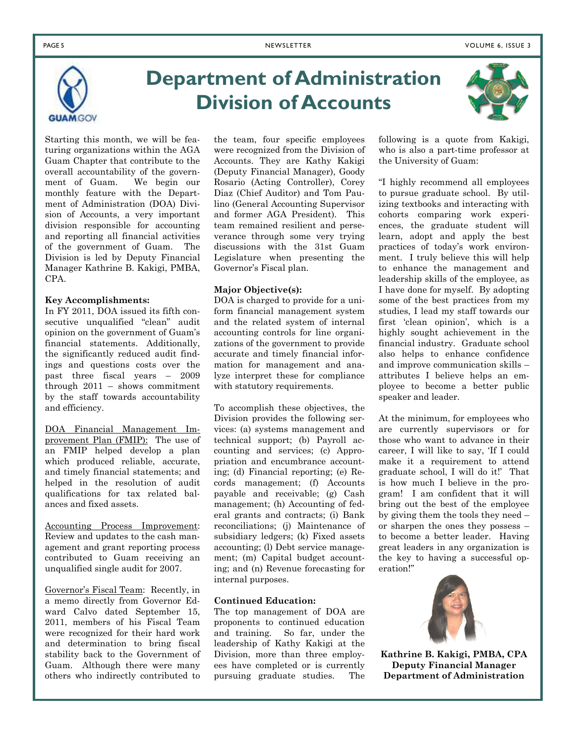

## **Department of Administration Division of Accounts**

Starting this month, we will be featuring organizations within the AGA Guam Chapter that contribute to the overall accountability of the government of Guam. We begin our monthly feature with the Department of Administration (DOA) Division of Accounts, a very important division responsible for accounting and reporting all financial activities of the government of Guam. The Division is led by Deputy Financial Manager Kathrine B. Kakigi, PMBA, CPA.

#### **Key Accomplishments:**

In FY 2011, DOA issued its fifth consecutive unqualified "clean" audit opinion on the government of Guam's financial statements. Additionally, the significantly reduced audit findings and questions costs over the past three fiscal years – 2009 through 2011 – shows commitment by the staff towards accountability and efficiency.

DOA Financial Management Improvement Plan (FMIP): The use of an FMIP helped develop a plan which produced reliable, accurate, and timely financial statements; and helped in the resolution of audit qualifications for tax related balances and fixed assets.

Accounting Process Improvement: Review and updates to the cash management and grant reporting process contributed to Guam receiving an unqualified single audit for 2007.

Governor's Fiscal Team: Recently, in a memo directly from Governor Edward Calvo dated September 15, 2011, members of his Fiscal Team were recognized for their hard work and determination to bring fiscal stability back to the Government of Guam. Although there were many others who indirectly contributed to

the team, four specific employees were recognized from the Division of Accounts. They are Kathy Kakigi (Deputy Financial Manager), Goody Rosario (Acting Controller), Corey Diaz (Chief Auditor) and Tom Paulino (General Accounting Supervisor and former AGA President). This team remained resilient and perseverance through some very trying discussions with the 31st Guam Legislature when presenting the Governor's Fiscal plan.

### **Major Objective(s):**

DOA is charged to provide for a uniform financial management system and the related system of internal accounting controls for line organizations of the government to provide accurate and timely financial information for management and analyze interpret these for compliance with statutory requirements.

To accomplish these objectives, the Division provides the following services: (a) systems management and technical support; (b) Payroll accounting and services; (c) Appropriation and encumbrance accounting; (d) Financial reporting; (e) Records management; (f) Accounts payable and receivable; (g) Cash management; (h) Accounting of federal grants and contracts; (i) Bank reconciliations; (j) Maintenance of subsidiary ledgers; (k) Fixed assets accounting; (l) Debt service management; (m) Capital budget accounting; and (n) Revenue forecasting for internal purposes.

#### **Continued Education:**

The top management of DOA are proponents to continued education and training. So far, under the leadership of Kathy Kakigi at the Division, more than three employees have completed or is currently pursuing graduate studies. The



following is a quote from Kakigi, who is also a part-time professor at the University of Guam:

"I highly recommend all employees to pursue graduate school. By utilizing textbooks and interacting with cohorts comparing work experiences, the graduate student will learn, adopt and apply the best practices of today's work environment. I truly believe this will help to enhance the management and leadership skills of the employee, as I have done for myself. By adopting some of the best practices from my studies, I lead my staff towards our first 'clean opinion', which is a highly sought achievement in the financial industry. Graduate school also helps to enhance confidence and improve communication skills – attributes I believe helps an employee to become a better public speaker and leader.

At the minimum, for employees who are currently supervisors or for those who want to advance in their career, I will like to say, 'If I could make it a requirement to attend graduate school, I will do it!' That is how much I believe in the program! I am confident that it will bring out the best of the employee by giving them the tools they need – or sharpen the ones they possess – to become a better leader. Having great leaders in any organization is the key to having a successful operation!"



**Kathrine B. Kakigi, PMBA, CPA Deputy Financial Manager Department of Administration**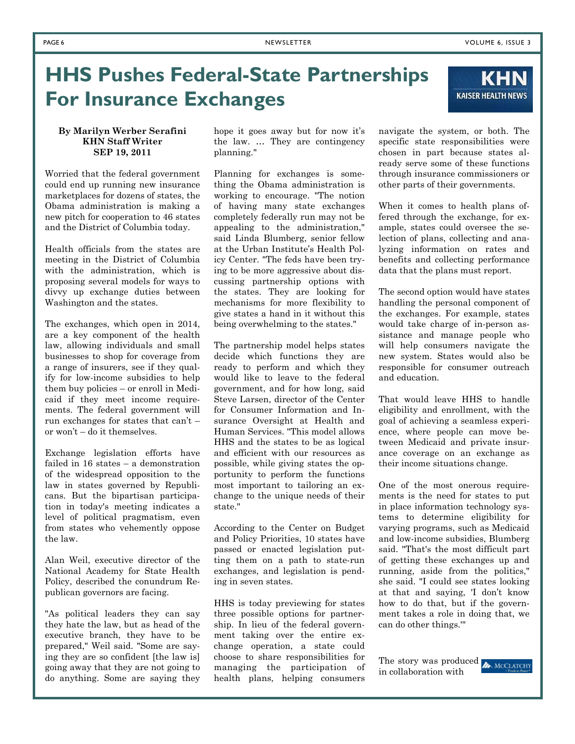**KHN** 

**KAISER HEALTH NEWS** 

## **HHS Pushes Federal-State Partnerships For Insurance Exchanges**

#### **By Marilyn Werber Serafini KHN Staff Writer SEP 19, 2011**

Worried that the federal government could end up running new insurance marketplaces for dozens of states, the Obama administration is making a new pitch for cooperation to 46 states and the District of Columbia today.

Health officials from the states are meeting in the District of Columbia with the administration, which is proposing several models for ways to divvy up exchange duties between Washington and the states.

The exchanges, which open in 2014, are a key component of the health law, allowing individuals and small businesses to shop for coverage from a range of insurers, see if they qualify for low-income subsidies to help them buy policies – or enroll in Medicaid if they meet income requirements. The federal government will run exchanges for states that can't – or won't – do it themselves.

Exchange legislation efforts have failed in 16 states – a demonstration of the widespread opposition to the law in states governed by Republicans. But the bipartisan participation in today's meeting indicates a level of political pragmatism, even from states who vehemently oppose the law.

Alan Weil, executive director of the National Academy for State Health Policy, described the conundrum Republican governors are facing.

"As political leaders they can say they hate the law, but as head of the executive branch, they have to be prepared," Weil said. "Some are saying they are so confident [the law is] going away that they are not going to do anything. Some are saying they hope it goes away but for now it's the law. … They are contingency planning."

Planning for exchanges is something the Obama administration is working to encourage. "The notion of having many state exchanges completely federally run may not be appealing to the administration," said Linda Blumberg, senior fellow at the Urban Institute's Health Policy Center. "The feds have been trying to be more aggressive about discussing partnership options with the states. They are looking for mechanisms for more flexibility to give states a hand in it without this being overwhelming to the states."

The partnership model helps states decide which functions they are ready to perform and which they would like to leave to the federal government, and for how long, said Steve Larsen, director of the Center for Consumer Information and Insurance Oversight at Health and Human Services. "This model allows HHS and the states to be as logical and efficient with our resources as possible, while giving states the opportunity to perform the functions most important to tailoring an exchange to the unique needs of their state."

According to the Center on Budget and Policy Priorities, 10 states have passed or enacted legislation putting them on a path to state-run exchanges, and legislation is pending in seven states.

HHS is today previewing for states three possible options for partnership. In lieu of the federal government taking over the entire exchange operation, a state could choose to share responsibilities for managing the participation of health plans, helping consumers navigate the system, or both. The specific state responsibilities were chosen in part because states already serve some of these functions through insurance commissioners or other parts of their governments.

When it comes to health plans offered through the exchange, for example, states could oversee the selection of plans, collecting and analyzing information on rates and benefits and collecting performance data that the plans must report.

The second option would have states handling the personal component of the exchanges. For example, states would take charge of in-person assistance and manage people who will help consumers navigate the new system. States would also be responsible for consumer outreach and education.

That would leave HHS to handle eligibility and enrollment, with the goal of achieving a seamless experience, where people can move between Medicaid and private insurance coverage on an exchange as their income situations change.

One of the most onerous requirements is the need for states to put in place information technology systems to determine eligibility for varying programs, such as Medicaid and low-income subsidies, Blumberg said. "That's the most difficult part of getting these exchanges up and running, aside from the politics," she said. "I could see states looking at that and saying, 'I don't know how to do that, but if the government takes a role in doing that, we can do other things.'"

The story was produced **ANNCCLATCHY** in collaboration with

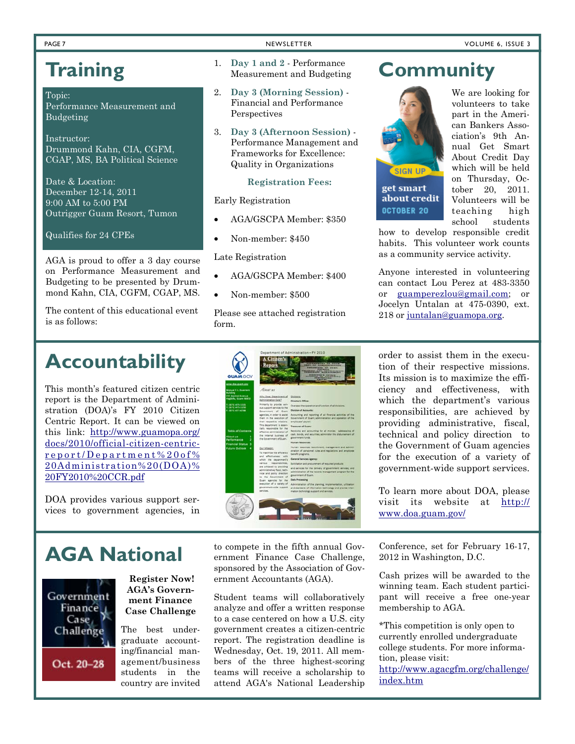## **Training**

#### Topic:

Performance Measurement and Budgeting

Instructor: Drummond Kahn, CIA, CGFM, CGAP, MS, BA Political Science

Date & Location: December 12-14, 2011 9:00 AM to 5:00 PM Outrigger Guam Resort, Tumon

Qualifies for 24 CPEs

AGA is proud to offer a 3 day course on Performance Measurement and Budgeting to be presented by Drummond Kahn, CIA, CGFM, CGAP, MS.

The content of this educational event is as follows:

- 1. **Day 1 and 2**  Performance Measurement and Budgeting
- 2. **Day 3 (Morning Session)**  Financial and Performance Perspectives
- 3. **Day 3 (Afternoon Session)** Performance Management and Frameworks for Excellence: Quality in Organizations

#### **Registration Fees:**

Early Registration

- AGA/GSCPA Member: \$350
- Non-member: \$450

Late Registration

- AGA/GSCPA Member: \$400
- Non-member: \$500

Please see attached registration form.

### **Community**



about credit OCTOBER 20

We are looking for volunteers to take part in the American Bankers Association's 9th Annual Get Smart About Credit Day which will be held on Thursday, October 20, 2011. Volunteers will be teaching high school students

how to develop responsible credit habits. This volunteer work counts as a community service activity.

Anyone interested in volunteering can contact Lou Perez at 483-3350 or guamperezlou@gmail.com; or Jocelyn Untalan at 475-0390, ext. 218 or juntalan@guamopa.org.

### **Accountability**

This month's featured citizen centric report is the Department of Administration (DOA)'s FY 2010 Citizen Centric Report. It can be viewed on this link: http://www.guamopa.org/ docs/2010/official-citizen-centricreport/Department%20of% 20Administration%20(DOA)% 20FY2010%20CCR.pdf

DOA provides various support services to government agencies, in

| <b>GUAM GOV</b><br><b>TER SEA AVAILABLE</b>                                   |                                                                                                                   | <b>RICARD BERGER</b>                                                                                                                                                                           |  |  |  |  |  |  |
|-------------------------------------------------------------------------------|-------------------------------------------------------------------------------------------------------------------|------------------------------------------------------------------------------------------------------------------------------------------------------------------------------------------------|--|--|--|--|--|--|
| <b>Associated F.C., Conservance</b>                                           | About set                                                                                                         |                                                                                                                                                                                                |  |  |  |  |  |  |
| <b><i><u>unfilme</u></i></b><br>12 Aspinal Avenue<br>lag3ths, Guam 98915      | Why Does Department of<br>Administration Exter?                                                                   | <b>Divisions:</b><br>Director's Office:                                                                                                                                                        |  |  |  |  |  |  |
| 16711 675-1101<br>(671) 675-1258<br>(673) 677-6788                            | Primarily to provide vari-<br>out support services to the<br>Government of Guarn                                  | Dyersees the poeration and function of all divisions.<br>Division of Accounts:                                                                                                                 |  |  |  |  |  |  |
|                                                                               | agencies, in order to assist<br>them in the execution of<br>their respective missions.                            | Accounting and reporting of all financial activities of the<br>Dovernment of Quart: administration and operation of the<br>employees' payroll.                                                 |  |  |  |  |  |  |
|                                                                               | This department is essen-                                                                                         | Treasurer of Guarn:                                                                                                                                                                            |  |  |  |  |  |  |
| Table of Contents<br><b>Mout us</b><br>î                                      | tially responsible for the<br>effective administration of<br>the internal business of<br>the Government of Guam.  | Receiving and accounting for all monies. safekeeping of<br>cash, bonds, and securities; administer the disbursament of<br>government funds:                                                    |  |  |  |  |  |  |
| 2<br><b>Wirformance</b>                                                       |                                                                                                                   | <b>Human Resources</b>                                                                                                                                                                         |  |  |  |  |  |  |
| <b>Inancial Status</b><br>٠<br><b><i><u><u>Uture Dutinna</u></u></i></b><br>٠ | Our Maxion<br>To maximize the efficiency<br>and effectiveness, with                                               | Human resources recruitment; management and admini-<br>straton of parsonnel rules and regulations and amployee.<br>behaft programs.                                                            |  |  |  |  |  |  |
|                                                                               | which the department's                                                                                            | General Services Agency:                                                                                                                                                                       |  |  |  |  |  |  |
|                                                                               | various responsibilities.                                                                                         | Solicitation and procurement of required products                                                                                                                                              |  |  |  |  |  |  |
|                                                                               | are achieved by providing<br>administrative, flatal, tech-<br>nical and policy direction.<br>to the Government of | and services for the delivery of government services; and<br>administration of the records management program for the<br>government of Guam.                                                   |  |  |  |  |  |  |
|                                                                               | Guari agencies for the<br>execution of a variety of<br>government-wide support.<br>services.                      | <b>Data Processing</b><br>Administration of the planning, implementation, utilization<br>and standards of information technology and provide infor-<br>mation technology support and services. |  |  |  |  |  |  |
|                                                                               |                                                                                                                   |                                                                                                                                                                                                |  |  |  |  |  |  |

order to assist them in the execution of their respective missions. Its mission is to maximize the efficiency and effectiveness, with which the department's various responsibilities, are achieved by providing administrative, fiscal, technical and policy direction to the Government of Guam agencies for the execution of a variety of government-wide support services.

To learn more about DOA, please visit its website at http:// www.doa.guam.gov/

Government Finance 1 Case, Challenge

Oct. 20-28

**Register Now! AGA's Government Finance Case Challenge** 

The best undergraduate accounting/financial management/business students in the country are invited

**AGA National to compete in the fifth annual Gov-**<br>**AGA National ernment** Finance Case Challenge ernment Finance Case Challenge, sponsored by the Association of Government Accountants (AGA).

> Student teams will collaboratively analyze and offer a written response to a case centered on how a U.S. city government creates a citizen-centric report. The registration deadline is Wednesday, Oct. 19, 2011. All members of the three highest-scoring teams will receive a scholarship to attend AGA's National Leadership

Conference, set for February 16-17, 2012 in Washington, D.C.

Cash prizes will be awarded to the winning team. Each student participant will receive a free one-year membership to AGA.

\*This competition is only open to currently enrolled undergraduate college students. For more information, please visit:

http://www.agacgfm.org/challenge/ index.htm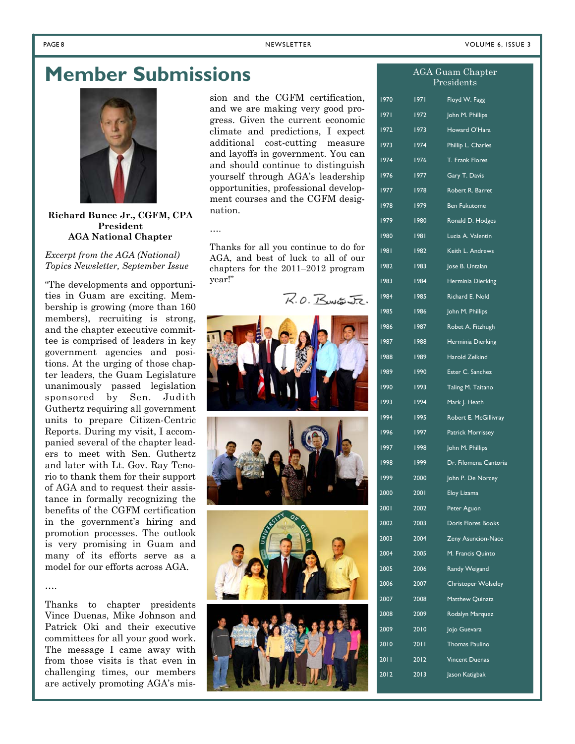$ACA$  Guam Chapter

### **Member Submissions**



### **Richard Bunce Jr., CGFM, CPA President AGA National Chapter**

*Excerpt from the AGA (National) Topics Newsletter, September Issue* 

"The developments and opportunities in Guam are exciting. Membership is growing (more than 160 members), recruiting is strong, and the chapter executive committee is comprised of leaders in key government agencies and positions. At the urging of those chapter leaders, the Guam Legislature unanimously passed legislation sponsored by Sen. Judith Guthertz requiring all government units to prepare Citizen-Centric Reports. During my visit, I accompanied several of the chapter leaders to meet with Sen. Guthertz and later with Lt. Gov. Ray Tenorio to thank them for their support of AGA and to request their assistance in formally recognizing the benefits of the CGFM certification in the government's hiring and promotion processes. The outlook is very promising in Guam and many of its efforts serve as a model for our efforts across AGA.

Thanks to chapter presidents Vince Duenas, Mike Johnson and Patrick Oki and their executive committees for all your good work. The message I came away with from those visits is that even in challenging times, our members are actively promoting AGA's mis-

….

sion and the CGFM certification, and we are making very good progress. Given the current economic climate and predictions, I expect additional cost-cutting measure and layoffs in government. You can and should continue to distinguish yourself through AGA's leadership opportunities, professional development courses and the CGFM designation.

Thanks for all you continue to do for AGA, and best of luck to all of our chapters for the 2011–2012 program year!"

….

 $R.0.$ Runter J.R.









|        | 11 U L 1 | $\cup$ 110. pro $\cup$ 1<br>Presidents |
|--------|----------|----------------------------------------|
| 1970   | 1971     | Floyd W. Fagg                          |
| 1971   | 1972     | John M. Phillips                       |
| 1972   | 1973     | Howard O'Hara                          |
| 1973   | 1974     | Phillip L. Charles                     |
| 1974   | 1976     | T. Frank Flores                        |
| 1976   | 1977     | Gary T. Davis                          |
| 1977   | 1978     | Robert R. Barret                       |
| 1978   | 1979     | <b>Ben Fukutome</b>                    |
| 1979   | 1980     | Ronald D. Hodges                       |
| 1980   | 1981     | Lucia A. Valentin                      |
| 1981 - | 1982     | Keith L. Andrews                       |
| 1982   | 1983     | Jose B. Untalan                        |
| 1983   | 1984     | Herminia Dierking                      |
| 1984   | 1985     | Richard E. Nold                        |
| 1985   | 1986     | John M. Phillips                       |
| 1986   | 1987     | Robet A. Fitzhugh                      |
| 1987   | 1988     | Herminia Dierking                      |
| 1988   | 1989     | Harold Zelkind                         |
| 1989   | 1990     | Ester C. Sanchez                       |
| 1990   | 1993     | Taling M. Taitano                      |
| 1993   | 1994     | Mark J. Heath                          |
| 1994   | 1995     | Robert E. McGillivray                  |
| 1996   | 1997     | Patrick Morrissey                      |
| 1997   | 1998     | John M. Phillips                       |
| 1998   | 1999     | Dr. Filomena Cantoria                  |
| 1999   | 2000     | John P. De Norcey                      |
| 2000   | 2001     | Eloy Lizama                            |
| 2001   | 2002     | Peter Aguon                            |
| 2002   | 2003     | <b>Doris Flores Books</b>              |
| 2003   | 2004     | Zeny Asuncion-Nace                     |
| 2004   | 2005     | M. Francis Quinto                      |
| 2005   | 2006     | Randy Weigand                          |
| 2006   | 2007     | <b>Christoper Wolseley</b>             |
| 2007   | 2008     | Matthew Quinata                        |
| 2008   | 2009     | Rodalyn Marquez                        |
| 2009   | 2010     | Jojo Guevara                           |
| 2010   | 2011     | <b>Thomas Paulino</b>                  |
| 20 I I | 2012     | <b>Vincent Duenas</b>                  |
| 2012   | 2013     | Jason Katigbak                         |
|        |          |                                        |